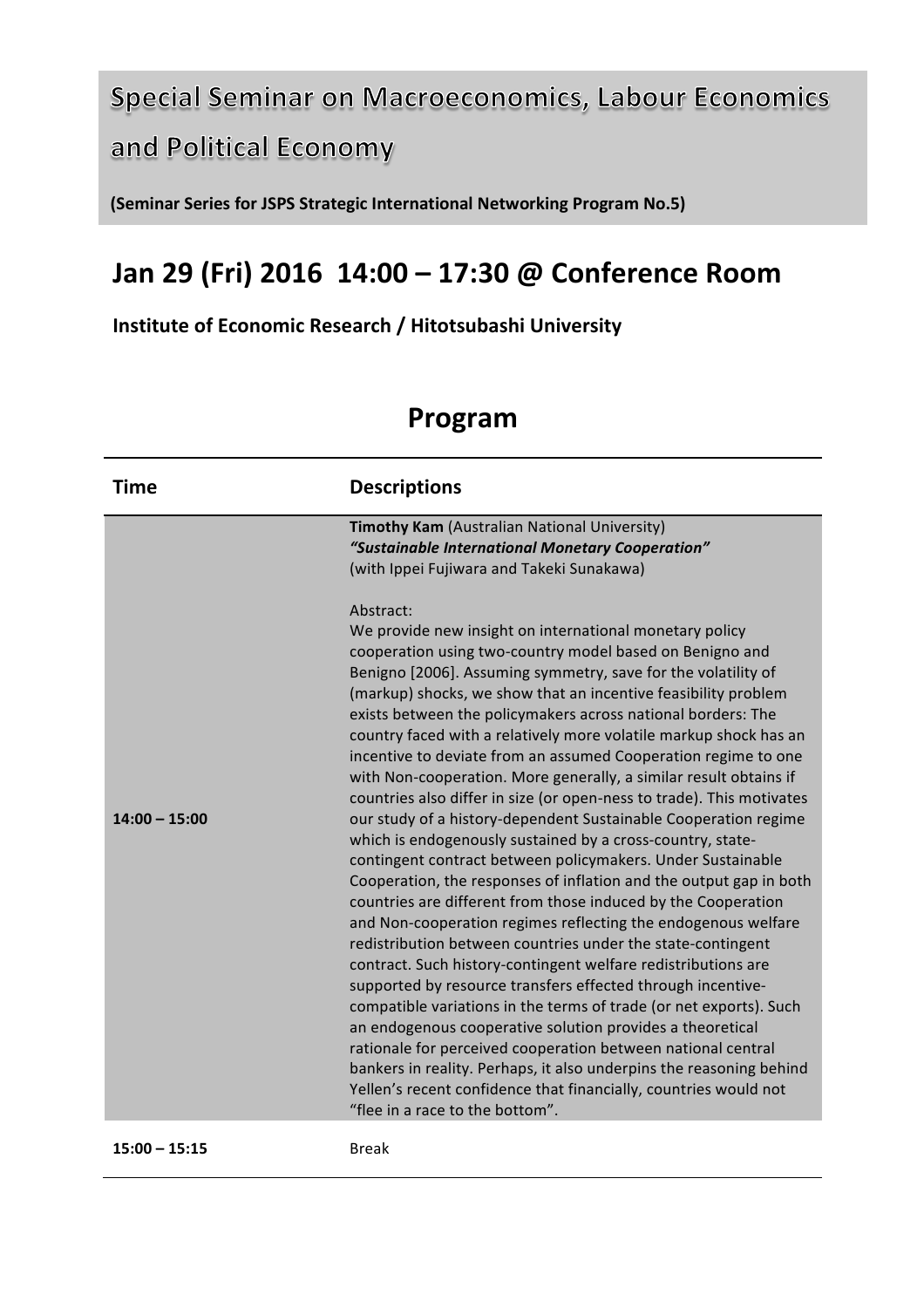## **Special Seminar on Macroeconomics, Labour Economics** and Political Economy

**(Seminar Series for JSPS Strategic International Networking Program No.5)** 

## **Jan 29 (Fri) 2016 14:00 – 17:30 @ Conference Room**

**Institute of Economic Research / Hitotsubashi University**

## **Program**

| Timothy Kam (Australian National University)<br>"Sustainable International Monetary Cooperation"<br>(with Ippei Fujiwara and Takeki Sunakawa)<br>Abstract:<br>We provide new insight on international monetary policy<br>cooperation using two-country model based on Benigno and<br>Benigno [2006]. Assuming symmetry, save for the volatility of<br>(markup) shocks, we show that an incentive feasibility problem<br>exists between the policymakers across national borders: The<br>country faced with a relatively more volatile markup shock has an<br>incentive to deviate from an assumed Cooperation regime to one<br>with Non-cooperation. More generally, a similar result obtains if<br>countries also differ in size (or open-ness to trade). This motivates<br>$14:00 - 15:00$<br>our study of a history-dependent Sustainable Cooperation regime<br>which is endogenously sustained by a cross-country, state-<br>contingent contract between policymakers. Under Sustainable<br>Cooperation, the responses of inflation and the output gap in both<br>countries are different from those induced by the Cooperation<br>and Non-cooperation regimes reflecting the endogenous welfare<br>redistribution between countries under the state-contingent<br>contract. Such history-contingent welfare redistributions are<br>supported by resource transfers effected through incentive-<br>compatible variations in the terms of trade (or net exports). Such<br>an endogenous cooperative solution provides a theoretical<br>rationale for perceived cooperation between national central<br>bankers in reality. Perhaps, it also underpins the reasoning behind<br>Yellen's recent confidence that financially, countries would not<br>"flee in a race to the bottom". | <b>Time</b> | <b>Descriptions</b> |
|--------------------------------------------------------------------------------------------------------------------------------------------------------------------------------------------------------------------------------------------------------------------------------------------------------------------------------------------------------------------------------------------------------------------------------------------------------------------------------------------------------------------------------------------------------------------------------------------------------------------------------------------------------------------------------------------------------------------------------------------------------------------------------------------------------------------------------------------------------------------------------------------------------------------------------------------------------------------------------------------------------------------------------------------------------------------------------------------------------------------------------------------------------------------------------------------------------------------------------------------------------------------------------------------------------------------------------------------------------------------------------------------------------------------------------------------------------------------------------------------------------------------------------------------------------------------------------------------------------------------------------------------------------------------------------------------------------------------------------------------------------------------------------------|-------------|---------------------|
|                                                                                                                                                                                                                                                                                                                                                                                                                                                                                                                                                                                                                                                                                                                                                                                                                                                                                                                                                                                                                                                                                                                                                                                                                                                                                                                                                                                                                                                                                                                                                                                                                                                                                                                                                                                      |             |                     |

**15:00 – 15:15** Break